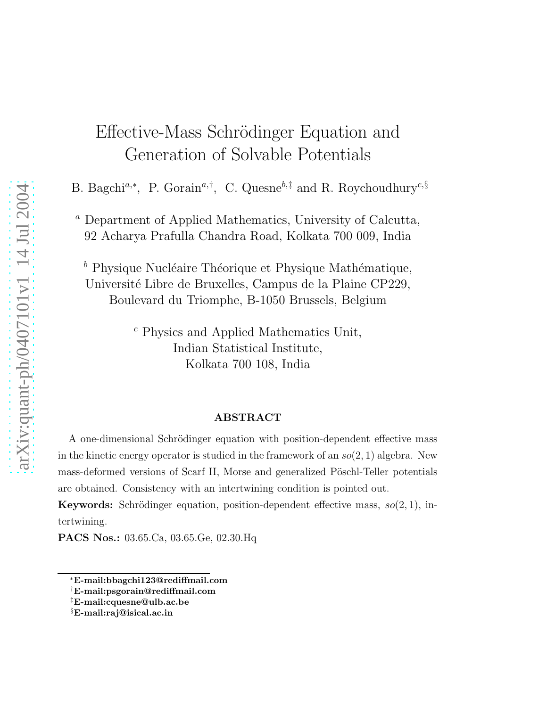## Effective-Mass Schrödinger Equation and Generation of Solvable Potentials

B. Bagchi<sup>a,∗</sup>, P. Gorain<sup>a,†</sup>, C. Quesne<sup>b,‡</sup> and R. Roychoudhury<sup>c,§</sup>

<sup>a</sup> Department of Applied Mathematics, University of Calcutta, 92 Acharya Prafulla Chandra Road, Kolkata 700 009, India

 $<sup>b</sup>$  Physique Nucléaire Théorique et Physique Mathématique,</sup> Université Libre de Bruxelles, Campus de la Plaine CP229, Boulevard du Triomphe, B-1050 Brussels, Belgium

> <sup>c</sup> Physics and Applied Mathematics Unit, Indian Statistical Institute, Kolkata 700 108, India

## ABSTRACT

A one-dimensional Schrödinger equation with position-dependent effective mass in the kinetic energy operator is studied in the framework of an  $so(2, 1)$  algebra. New mass-deformed versions of Scarf II, Morse and generalized Pöschl-Teller potentials are obtained. Consistency with an intertwining condition is pointed out.

**Keywords:** Schrödinger equation, position-dependent effective mass,  $so(2, 1)$ , intertwining.

PACS Nos.: 03.65.Ca, 03.65.Ge, 02.30.Hq

<sup>∗</sup>E-mail:bbagchi123@rediffmail.com

<sup>†</sup>E-mail:psgorain@rediffmail.com

<sup>‡</sup>E-mail:cquesne@ulb.ac.be

<sup>§</sup>E-mail:raj@isical.ac.in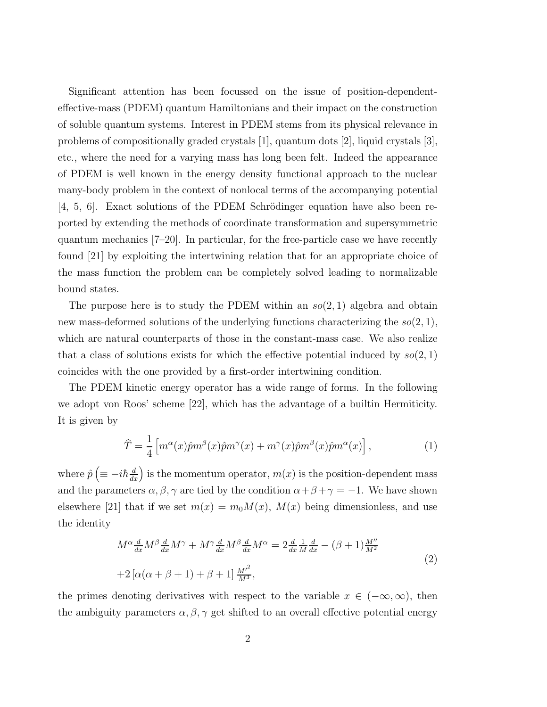Significant attention has been focussed on the issue of position-dependenteffective-mass (PDEM) quantum Hamiltonians and their impact on the construction of soluble quantum systems. Interest in PDEM stems from its physical relevance in problems of compositionally graded crystals [1], quantum dots [2], liquid crystals [3], etc., where the need for a varying mass has long been felt. Indeed the appearance of PDEM is well known in the energy density functional approach to the nuclear many-body problem in the context of nonlocal terms of the accompanying potential  $[4, 5, 6]$ . Exact solutions of the PDEM Schrödinger equation have also been reported by extending the methods of coordinate transformation and supersymmetric quantum mechanics [7–20]. In particular, for the free-particle case we have recently found [21] by exploiting the intertwining relation that for an appropriate choice of the mass function the problem can be completely solved leading to normalizable bound states.

The purpose here is to study the PDEM within an  $so(2, 1)$  algebra and obtain new mass-deformed solutions of the underlying functions characterizing the  $so(2, 1)$ , which are natural counterparts of those in the constant-mass case. We also realize that a class of solutions exists for which the effective potential induced by  $so(2,1)$ coincides with the one provided by a first-order intertwining condition.

The PDEM kinetic energy operator has a wide range of forms. In the following we adopt von Roos' scheme [22], which has the advantage of a builtin Hermiticity. It is given by

$$
\hat{T} = \frac{1}{4} \left[ m^{\alpha}(x) \hat{p} m^{\beta}(x) \hat{p} m^{\gamma}(x) + m^{\gamma}(x) \hat{p} m^{\beta}(x) \hat{p} m^{\alpha}(x) \right],
$$
\n(1)

where  $\hat{p}$   $\left(\equiv -i\hbar \frac{d}{dx}\right)$  is the momentum operator,  $m(x)$  is the position-dependent mass and the parameters  $\alpha, \beta, \gamma$  are tied by the condition  $\alpha + \beta + \gamma = -1$ . We have shown elsewhere [21] that if we set  $m(x) = m_0 M(x)$ ,  $M(x)$  being dimensionless, and use the identity

$$
M^{\alpha} \frac{d}{dx} M^{\beta} \frac{d}{dx} M^{\gamma} + M^{\gamma} \frac{d}{dx} M^{\beta} \frac{d}{dx} M^{\alpha} = 2 \frac{d}{dx} \frac{1}{M} \frac{d}{dx} - (\beta + 1) \frac{M''}{M^2}
$$
  
+2[ $\alpha(\alpha + \beta + 1) + \beta + 1$ ]  $\frac{M'^2}{M^3}$ , (2)

the primes denoting derivatives with respect to the variable  $x \in (-\infty, \infty)$ , then the ambiguity parameters  $\alpha, \beta, \gamma$  get shifted to an overall effective potential energy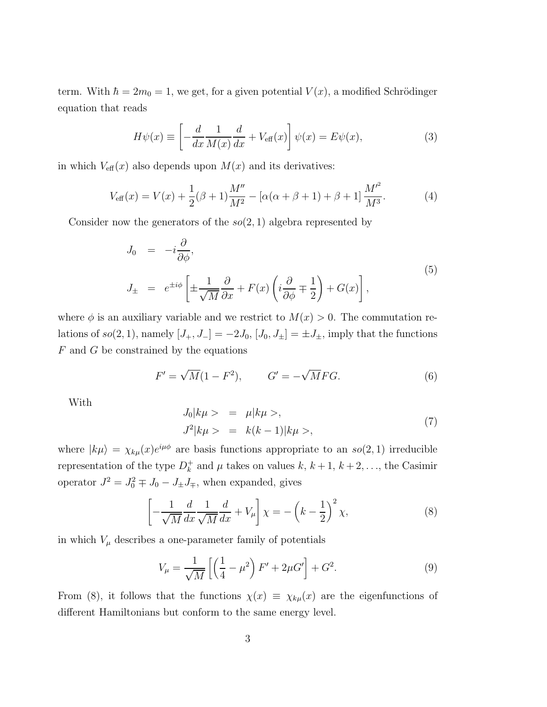term. With  $\hbar = 2m_0 = 1$ , we get, for a given potential  $V(x)$ , a modified Schrödinger equation that reads

$$
H\psi(x) \equiv \left[ -\frac{d}{dx} \frac{1}{M(x)} \frac{d}{dx} + V_{\text{eff}}(x) \right] \psi(x) = E\psi(x),\tag{3}
$$

in which  $V_{\text{eff}}(x)$  also depends upon  $M(x)$  and its derivatives:

$$
V_{\text{eff}}(x) = V(x) + \frac{1}{2}(\beta + 1)\frac{M''}{M^2} - [\alpha(\alpha + \beta + 1) + \beta + 1]\frac{M'^2}{M^3}.
$$
 (4)

Consider now the generators of the  $so(2, 1)$  algebra represented by

$$
J_0 = -i\frac{\partial}{\partial \phi},
$$
  
\n
$$
J_{\pm} = e^{\pm i\phi} \left[ \pm \frac{1}{\sqrt{M}} \frac{\partial}{\partial x} + F(x) \left( i \frac{\partial}{\partial \phi} \mp \frac{1}{2} \right) + G(x) \right],
$$
\n(5)

where  $\phi$  is an auxiliary variable and we restrict to  $M(x) > 0$ . The commutation relations of  $so(2, 1)$ , namely  $[J_+, J_-] = -2J_0$ ,  $[J_0, J_{\pm}] = \pm J_{\pm}$ , imply that the functions  $F$  and  $G$  be constrained by the equations

$$
F' = \sqrt{M}(1 - F^2), \qquad G' = -\sqrt{M}FG.
$$
 (6)

With

$$
J_0|k\mu\rangle = \mu|k\mu\rangle,
$$
  
\n
$$
J^2|k\mu\rangle = k(k-1)|k\mu\rangle,
$$
\n(7)

where  $|k\mu\rangle = \chi_{k\mu}(x)e^{i\mu\phi}$  are basis functions appropriate to an  $so(2, 1)$  irreducible representation of the type  $D_k^+$  and  $\mu$  takes on values  $k, k+1, k+2, \ldots$ , the Casimir operator  $J^2 = J_0^2 \mp J_0 - J_{\pm} J_{\mp}$ , when expanded, gives

$$
\left[-\frac{1}{\sqrt{M}}\frac{d}{dx}\frac{1}{\sqrt{M}}\frac{d}{dx} + V_{\mu}\right]\chi = -\left(k - \frac{1}{2}\right)^{2}\chi,\tag{8}
$$

in which  $V_{\mu}$  describes a one-parameter family of potentials

$$
V_{\mu} = \frac{1}{\sqrt{M}} \left[ \left( \frac{1}{4} - \mu^2 \right) F' + 2\mu G' \right] + G^2.
$$
 (9)

From (8), it follows that the functions  $\chi(x) \equiv \chi_{k\mu}(x)$  are the eigenfunctions of different Hamiltonians but conform to the same energy level.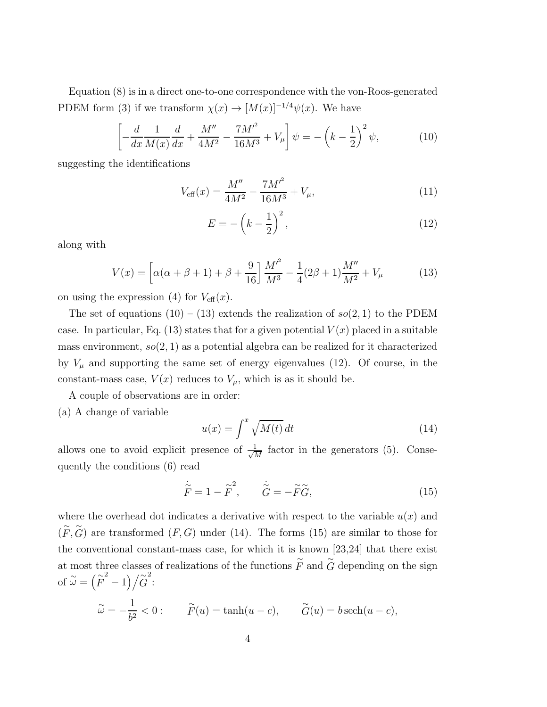Equation (8) is in a direct one-to-one correspondence with the von-Roos-generated PDEM form (3) if we transform  $\chi(x) \to [M(x)]^{-1/4} \psi(x)$ . We have

$$
\left[ -\frac{d}{dx} \frac{1}{M(x)} \frac{d}{dx} + \frac{M''}{4M^2} - \frac{7M'^2}{16M^3} + V_\mu \right] \psi = -\left( k - \frac{1}{2} \right)^2 \psi,
$$
 (10)

suggesting the identifications

$$
V_{\text{eff}}(x) = \frac{M''}{4M^2} - \frac{7M'^2}{16M^3} + V_{\mu},\tag{11}
$$

$$
E = -\left(k - \frac{1}{2}\right)^2,\tag{12}
$$

along with

$$
V(x) = \left[ \alpha(\alpha + \beta + 1) + \beta + \frac{9}{16} \right] \frac{M^2}{M^3} - \frac{1}{4} (2\beta + 1) \frac{M''}{M^2} + V_\mu \tag{13}
$$

on using the expression (4) for  $V_{\text{eff}}(x)$ .

The set of equations  $(10) - (13)$  extends the realization of  $so(2, 1)$  to the PDEM case. In particular, Eq. (13) states that for a given potential  $V(x)$  placed in a suitable mass environment,  $so(2, 1)$  as a potential algebra can be realized for it characterized by  $V_{\mu}$  and supporting the same set of energy eigenvalues (12). Of course, in the constant-mass case,  $V(x)$  reduces to  $V_{\mu}$ , which is as it should be.

A couple of observations are in order:

(a) A change of variable

$$
u(x) = \int^x \sqrt{M(t)} dt
$$
 (14)

allows one to avoid explicit presence of  $\frac{1}{\sqrt{2}}$  $\frac{1}{\overline{M}}$  factor in the generators (5). Consequently the conditions (6) read

$$
\dot{\tilde{F}} = 1 - \tilde{F}^2, \qquad \dot{\tilde{G}} = -\tilde{F}\tilde{G},\tag{15}
$$

where the overhead dot indicates a derivative with respect to the variable  $u(x)$  and  $(\widetilde{F}, \widetilde{G})$  are transformed  $(F, G)$  under (14). The forms (15) are similar to those for the conventional constant-mass case, for which it is known [23,24] that there exist at most three classes of realizations of the functions  $\stackrel{\sim}{F}$  and  $\stackrel{\sim}{G}$  depending on the sign of  $\widetilde{\omega} = (\widetilde{F}^2 - 1) / \widetilde{G}^2$ :

$$
\widetilde{\omega} = -\frac{1}{b^2} < 0: \qquad \widetilde{F}(u) = \tanh(u - c), \qquad \widetilde{G}(u) = b \operatorname{sech}(u - c),
$$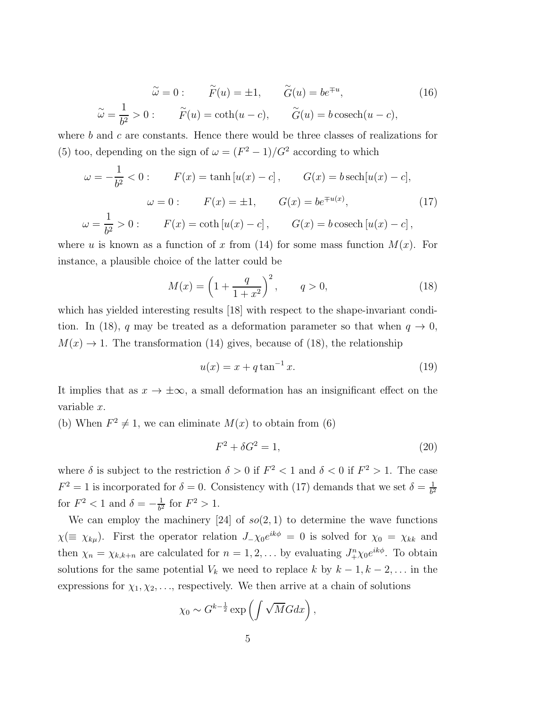$$
\widetilde{\omega} = 0: \qquad \widetilde{F}(u) = \pm 1, \qquad \widetilde{G}(u) = be^{\mp u},
$$
\n
$$
\widetilde{\omega} = \frac{1}{b^2} > 0: \qquad \widetilde{F}(u) = \coth(u - c), \qquad \widetilde{G}(u) = b \operatorname{cosech}(u - c),
$$
\n(16)

where  $b$  and  $c$  are constants. Hence there would be three classes of realizations for (5) too, depending on the sign of  $\omega = (F^2 - 1)/G^2$  according to which

$$
\omega = -\frac{1}{b^2} < 0: \qquad F(x) = \tanh[u(x) - c], \qquad G(x) = b \operatorname{sech}[u(x) - c],
$$

$$
\omega = 0: \qquad F(x) = \pm 1, \qquad G(x) = be^{\mp u(x)}, \qquad (17)
$$

$$
\omega = \frac{1}{b^2} > 0: \qquad F(x) = \coth[u(x) - c], \qquad G(x) = b \operatorname{cosech}[u(x) - c], \qquad (18)
$$

where u is known as a function of x from (14) for some mass function  $M(x)$ . For instance, a plausible choice of the latter could be

$$
M(x) = \left(1 + \frac{q}{1 + x^2}\right)^2, \qquad q > 0,
$$
 (18)

which has yielded interesting results [18] with respect to the shape-invariant condition. In (18), q may be treated as a deformation parameter so that when  $q \to 0$ ,  $M(x) \rightarrow 1$ . The transformation (14) gives, because of (18), the relationship

$$
u(x) = x + q \tan^{-1} x.
$$
 (19)

It implies that as  $x \to \pm \infty$ , a small deformation has an insignificant effect on the variable x.

(b) When  $F^2 \neq 1$ , we can eliminate  $M(x)$  to obtain from (6)

$$
F^2 + \delta G^2 = 1,\tag{20}
$$

where  $\delta$  is subject to the restriction  $\delta > 0$  if  $F^2 < 1$  and  $\delta < 0$  if  $F^2 > 1$ . The case  $F^2 = 1$  is incorporated for  $\delta = 0$ . Consistency with (17) demands that we set  $\delta = \frac{1}{b^2}$  $b^2$ for  $F^2 < 1$  and  $\delta = -\frac{1}{b^2}$  $\frac{1}{b^2}$  for  $F^2 > 1$ .

We can employ the machinery [24] of  $so(2, 1)$  to determine the wave functions  $\chi (\equiv \chi_{k\mu})$ . First the operator relation  $J_{-\chi_0}e^{ik\phi} = 0$  is solved for  $\chi_0 = \chi_{kk}$  and then  $\chi_n = \chi_{k,k+n}$  are calculated for  $n = 1, 2, \ldots$  by evaluating  $J^n_+\chi_0 e^{ik\phi}$ . To obtain solutions for the same potential  $V_k$  we need to replace k by  $k-1, k-2, \ldots$  in the expressions for  $\chi_1, \chi_2, \ldots$ , respectively. We then arrive at a chain of solutions

$$
\chi_0 \sim G^{k-\frac{1}{2}} \exp\left(\int \sqrt{M}G dx\right),\,
$$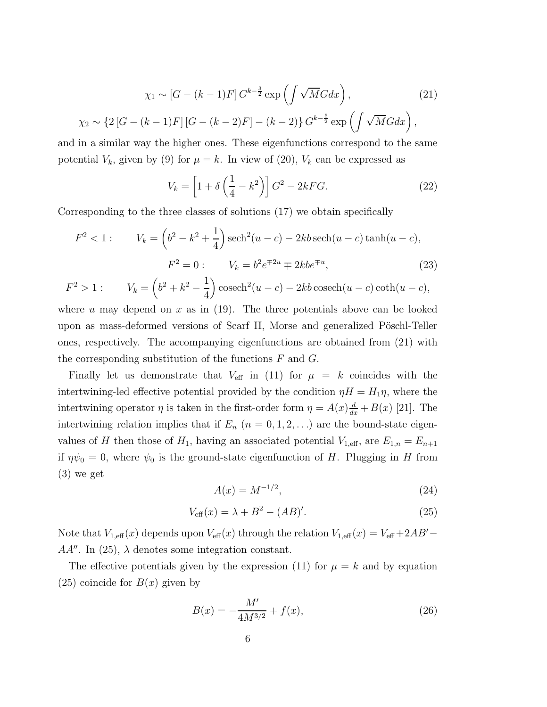$$
\chi_1 \sim [G - (k-1)F] G^{k-\frac{3}{2}} \exp\left(\int \sqrt{M} G dx\right),\tag{21}
$$

$$
\chi_2 \sim \{2\left[G - (k-1)F\right][G - (k-2)F] - (k-2)\} G^{k-\frac{5}{2}} \exp\left(\int \sqrt{M} G dx\right),
$$

and in a similar way the higher ones. These eigenfunctions correspond to the same potential  $V_k$ , given by (9) for  $\mu = k$ . In view of (20),  $V_k$  can be expressed as

$$
V_k = \left[1 + \delta\left(\frac{1}{4} - k^2\right)\right]G^2 - 2kFG.
$$
\n
$$
(22)
$$

Corresponding to the three classes of solutions (17) we obtain specifically

$$
F^{2} < 1: \qquad V_{k} = \left(b^{2} - k^{2} + \frac{1}{4}\right) \operatorname{sech}^{2}(u - c) - 2kb \operatorname{sech}(u - c) \tanh(u - c),
$$

$$
F^{2} = 0: \qquad V_{k} = b^{2} e^{\mp 2u} \mp 2kb e^{\mp u}, \tag{23}
$$

$$
F^2 > 1
$$
:  $V_k = (b^2 + k^2 - \frac{1}{4}) \cosech^2(u - c) - 2kb \cosech(u - c) \coth(u - c),$ 

where u may depend on x as in  $(19)$ . The three potentials above can be looked upon as mass-deformed versions of Scarf II, Morse and generalized Pöschl-Teller ones, respectively. The accompanying eigenfunctions are obtained from (21) with the corresponding substitution of the functions  $F$  and  $G$ .

Finally let us demonstrate that  $V_{\text{eff}}$  in (11) for  $\mu = k$  coincides with the intertwining-led effective potential provided by the condition  $\eta H = H_1 \eta$ , where the intertwining operator  $\eta$  is taken in the first-order form  $\eta = A(x) \frac{d}{dx} + B(x)$  [21]. The intertwining relation implies that if  $E_n$   $(n = 0, 1, 2, ...)$  are the bound-state eigenvalues of H then those of  $H_1$ , having an associated potential  $V_{1,\text{eff}}$ , are  $E_{1,n} = E_{n+1}$ if  $\eta \psi_0 = 0$ , where  $\psi_0$  is the ground-state eigenfunction of H. Plugging in H from (3) we get

$$
A(x) = M^{-1/2},
$$
\n(24)

$$
V_{\text{eff}}(x) = \lambda + B^2 - (AB)'.\tag{25}
$$

Note that  $V_{1,\text{eff}}(x)$  depends upon  $V_{\text{eff}}(x)$  through the relation  $V_{1,\text{eff}}(x) = V_{\text{eff}} + 2AB' AA''$ . In (25),  $\lambda$  denotes some integration constant.

The effective potentials given by the expression (11) for  $\mu = k$  and by equation  $(25)$  coincide for  $B(x)$  given by

$$
B(x) = -\frac{M'}{4M^{3/2}} + f(x),\tag{26}
$$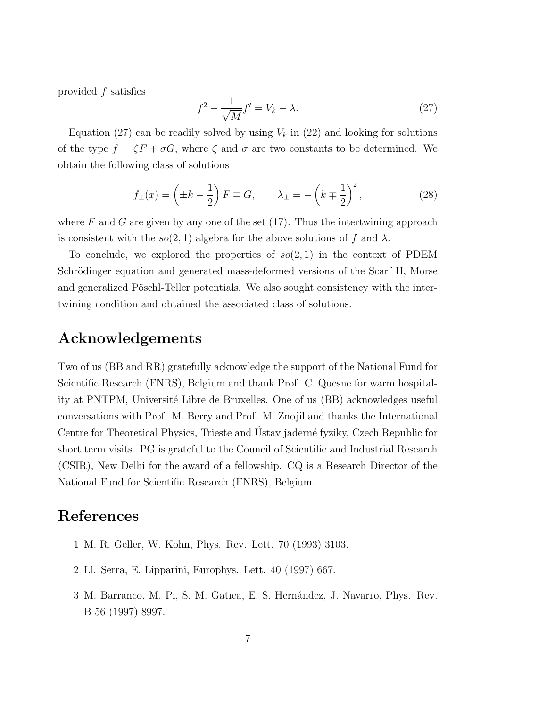provided f satisfies

$$
f^2 - \frac{1}{\sqrt{M}}f' = V_k - \lambda.
$$
 (27)

Equation (27) can be readily solved by using  $V_k$  in (22) and looking for solutions of the type  $f = \zeta F + \sigma G$ , where  $\zeta$  and  $\sigma$  are two constants to be determined. We obtain the following class of solutions

$$
f_{\pm}(x) = \left(\pm k - \frac{1}{2}\right) F \mp G, \qquad \lambda_{\pm} = -\left(k \mp \frac{1}{2}\right)^2,\tag{28}
$$

where F and G are given by any one of the set  $(17)$ . Thus the intertwining approach is consistent with the  $so(2, 1)$  algebra for the above solutions of f and  $\lambda$ .

To conclude, we explored the properties of  $so(2, 1)$  in the context of PDEM Schrödinger equation and generated mass-deformed versions of the Scarf II, Morse and generalized Pöschl-Teller potentials. We also sought consistency with the intertwining condition and obtained the associated class of solutions.

## Acknowledgements

Two of us (BB and RR) gratefully acknowledge the support of the National Fund for Scientific Research (FNRS), Belgium and thank Prof. C. Quesne for warm hospitality at PNTPM, Université Libre de Bruxelles. One of us (BB) acknowledges useful conversations with Prof. M. Berry and Prof. M. Znojil and thanks the International Centre for Theoretical Physics, Trieste and Ústav jaderné fyziky, Czech Republic for short term visits. PG is grateful to the Council of Scientific and Industrial Research (CSIR), New Delhi for the award of a fellowship. CQ is a Research Director of the National Fund for Scientific Research (FNRS), Belgium.

## References

- 1 M. R. Geller, W. Kohn, Phys. Rev. Lett. 70 (1993) 3103.
- 2 Ll. Serra, E. Lipparini, Europhys. Lett. 40 (1997) 667.
- 3 M. Barranco, M. Pi, S. M. Gatica, E. S. Hern´andez, J. Navarro, Phys. Rev. B 56 (1997) 8997.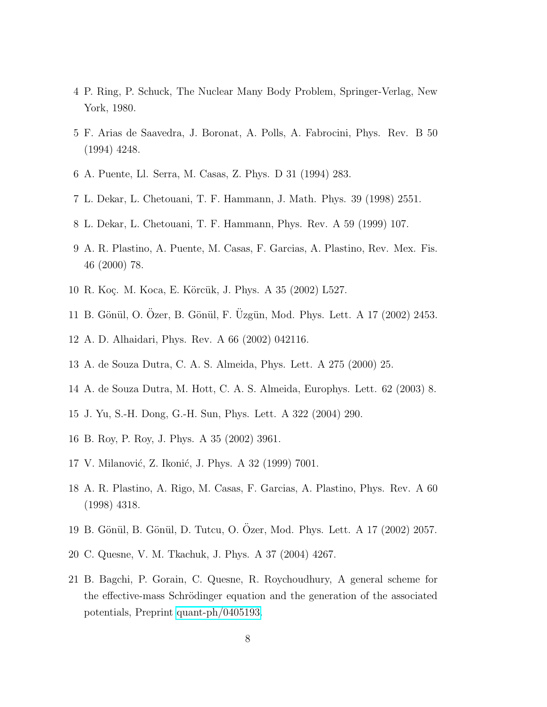- 4 P. Ring, P. Schuck, The Nuclear Many Body Problem, Springer-Verlag, New York, 1980.
- 5 F. Arias de Saavedra, J. Boronat, A. Polls, A. Fabrocini, Phys. Rev. B 50 (1994) 4248.
- 6 A. Puente, Ll. Serra, M. Casas, Z. Phys. D 31 (1994) 283.
- 7 L. Dekar, L. Chetouani, T. F. Hammann, J. Math. Phys. 39 (1998) 2551.
- 8 L. Dekar, L. Chetouani, T. F. Hammann, Phys. Rev. A 59 (1999) 107.
- 9 A. R. Plastino, A. Puente, M. Casas, F. Garcias, A. Plastino, Rev. Mex. Fis. 46 (2000) 78.
- 10 R. Koç. M. Koca, E. Körcük, J. Phys. A 35 (2002) L527.
- 11 B. Gönül, O. Özer, B. Gönül, F. Üzgün, Mod. Phys. Lett. A 17 (2002) 2453.
- 12 A. D. Alhaidari, Phys. Rev. A 66 (2002) 042116.
- 13 A. de Souza Dutra, C. A. S. Almeida, Phys. Lett. A 275 (2000) 25.
- 14 A. de Souza Dutra, M. Hott, C. A. S. Almeida, Europhys. Lett. 62 (2003) 8.
- 15 J. Yu, S.-H. Dong, G.-H. Sun, Phys. Lett. A 322 (2004) 290.
- 16 B. Roy, P. Roy, J. Phys. A 35 (2002) 3961.
- 17 V. Milanović, Z. Ikonić, J. Phys. A 32 (1999) 7001.
- 18 A. R. Plastino, A. Rigo, M. Casas, F. Garcias, A. Plastino, Phys. Rev. A 60 (1998) 4318.
- 19 B. Gönül, B. Gönül, D. Tutcu, O. Özer, Mod. Phys. Lett. A 17 (2002) 2057.
- 20 C. Quesne, V. M. Tkachuk, J. Phys. A 37 (2004) 4267.
- 21 B. Bagchi, P. Gorain, C. Quesne, R. Roychoudhury, A general scheme for the effective-mass Schrödinger equation and the generation of the associated potentials, Preprint [quant-ph/0405193.](http://arxiv.org/abs/quant-ph/0405193)